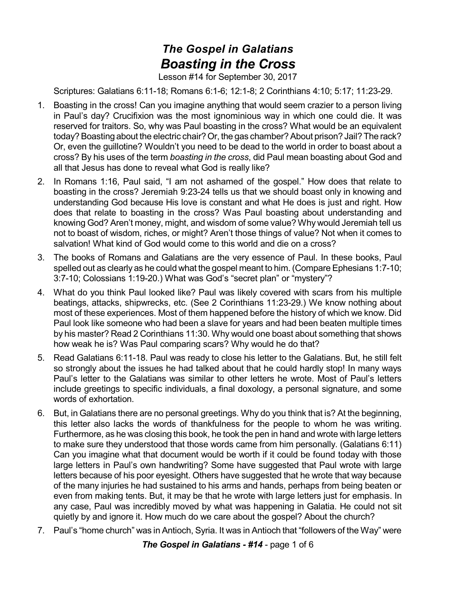## *The Gospel in Galatians Boasting in the Cross*

Lesson #14 for September 30, 2017

Scriptures: Galatians 6:11-18; Romans 6:1-6; 12:1-8; 2 Corinthians 4:10; 5:17; 11:23-29.

- 1. Boasting in the cross! Can you imagine anything that would seem crazier to a person living in Paul's day? Crucifixion was the most ignominious way in which one could die. It was reserved for traitors. So, why was Paul boasting in the cross? What would be an equivalent today? Boasting about the electric chair? Or, the gas chamber? About prison? Jail? The rack? Or, even the guillotine? Wouldn't you need to be dead to the world in order to boast about a cross? By his uses of the term *boasting in the cross*, did Paul mean boasting about God and all that Jesus has done to reveal what God is really like?
- 2. In Romans 1:16, Paul said, "I am not ashamed of the gospel." How does that relate to boasting in the cross? Jeremiah 9:23-24 tells us that we should boast only in knowing and understanding God because His love is constant and what He does is just and right. How does that relate to boasting in the cross? Was Paul boasting about understanding and knowing God? Aren't money, might, and wisdom of some value? Why would Jeremiah tell us not to boast of wisdom, riches, or might? Aren't those things of value? Not when it comes to salvation! What kind of God would come to this world and die on a cross?
- 3. The books of Romans and Galatians are the very essence of Paul. In these books, Paul spelled out as clearly as he could what the gospel meant to him. (Compare Ephesians 1:7-10; 3:7-10; Colossians 1:19-20.) What was God's "secret plan" or "mystery"?
- 4. What do you think Paul looked like? Paul was likely covered with scars from his multiple beatings, attacks, shipwrecks, etc. (See 2 Corinthians 11:23-29.) We know nothing about most of these experiences. Most of them happened before the history of which we know. Did Paul look like someone who had been a slave for years and had been beaten multiple times by his master? Read 2 Corinthians 11:30. Why would one boast about something that shows how weak he is? Was Paul comparing scars? Why would he do that?
- 5. Read Galatians 6:11-18. Paul was ready to close his letter to the Galatians. But, he still felt so strongly about the issues he had talked about that he could hardly stop! In many ways Paul's letter to the Galatians was similar to other letters he wrote. Most of Paul's letters include greetings to specific individuals, a final doxology, a personal signature, and some words of exhortation.
- 6. But, in Galatians there are no personal greetings. Why do you think that is? At the beginning, this letter also lacks the words of thankfulness for the people to whom he was writing. Furthermore, as he was closing this book, he took the pen in hand and wrote with large letters to make sure they understood that those words came from him personally. (Galatians 6:11) Can you imagine what that document would be worth if it could be found today with those large letters in Paul's own handwriting? Some have suggested that Paul wrote with large letters because of his poor eyesight. Others have suggested that he wrote that way because of the many injuries he had sustained to his arms and hands, perhaps from being beaten or even from making tents. But, it may be that he wrote with large letters just for emphasis. In any case, Paul was incredibly moved by what was happening in Galatia. He could not sit quietly by and ignore it. How much do we care about the gospel? About the church?
- 7. Paul's "home church" was in Antioch, Syria. It was in Antioch that "followers of the Way" were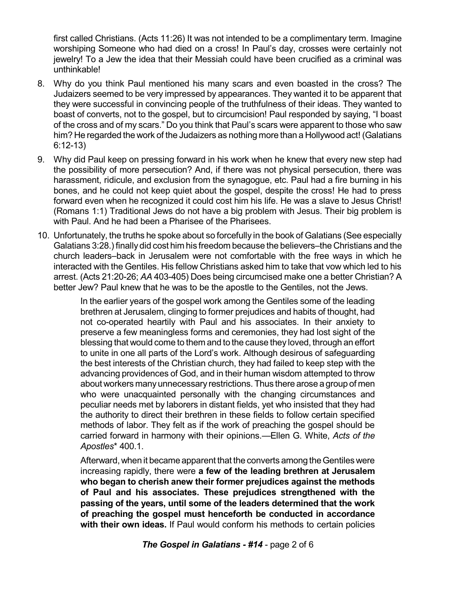first called Christians. (Acts 11:26) It was not intended to be a complimentary term. Imagine worshiping Someone who had died on a cross! In Paul's day, crosses were certainly not jewelry! To a Jew the idea that their Messiah could have been crucified as a criminal was unthinkable!

- 8. Why do you think Paul mentioned his many scars and even boasted in the cross? The Judaizers seemed to be very impressed by appearances. They wanted it to be apparent that they were successful in convincing people of the truthfulness of their ideas. They wanted to boast of converts, not to the gospel, but to circumcision! Paul responded by saying, "I boast of the cross and of my scars." Do you think that Paul's scars were apparent to those who saw him? He regarded the work of the Judaizers as nothing more than a Hollywood act! (Galatians 6:12-13)
- 9. Why did Paul keep on pressing forward in his work when he knew that every new step had the possibility of more persecution? And, if there was not physical persecution, there was harassment, ridicule, and exclusion from the synagogue, etc. Paul had a fire burning in his bones, and he could not keep quiet about the gospel, despite the cross! He had to press forward even when he recognized it could cost him his life. He was a slave to Jesus Christ! (Romans 1:1) Traditional Jews do not have a big problem with Jesus. Their big problem is with Paul. And he had been a Pharisee of the Pharisees.
- 10. Unfortunately, the truths he spoke about so forcefully in the book of Galatians (See especially Galatians 3:28.) finally did cost him his freedom because the believers–the Christians and the church leaders–back in Jerusalem were not comfortable with the free ways in which he interacted with the Gentiles. His fellow Christians asked him to take that vow which led to his arrest. (Acts 21:20-26; *AA* 403-405) Does being circumcised make one a better Christian? A better Jew? Paul knew that he was to be the apostle to the Gentiles, not the Jews.

In the earlier years of the gospel work among the Gentiles some of the leading brethren at Jerusalem, clinging to former prejudices and habits of thought, had not co-operated heartily with Paul and his associates. In their anxiety to preserve a few meaningless forms and ceremonies, they had lost sight of the blessing that would come to them and to the cause they loved, through an effort to unite in one all parts of the Lord's work. Although desirous of safeguarding the best interests of the Christian church, they had failed to keep step with the advancing providences of God, and in their human wisdom attempted to throw about workers many unnecessary restrictions.Thus there arose a group of men who were unacquainted personally with the changing circumstances and peculiar needs met by laborers in distant fields, yet who insisted that they had the authority to direct their brethren in these fields to follow certain specified methods of labor. They felt as if the work of preaching the gospel should be carried forward in harmony with their opinions.—Ellen G. White, *Acts of the Apostles*\* 400.1.

Afterward, when it became apparent that the converts among theGentiles were increasing rapidly, there were **a few of the leading brethren at Jerusalem who began to cherish anew their former prejudices against the methods of Paul and his associates. These prejudices strengthened with the passing of the years, until some of the leaders determined that the work of preaching the gospel must henceforth be conducted in accordance with their own ideas.** If Paul would conform his methods to certain policies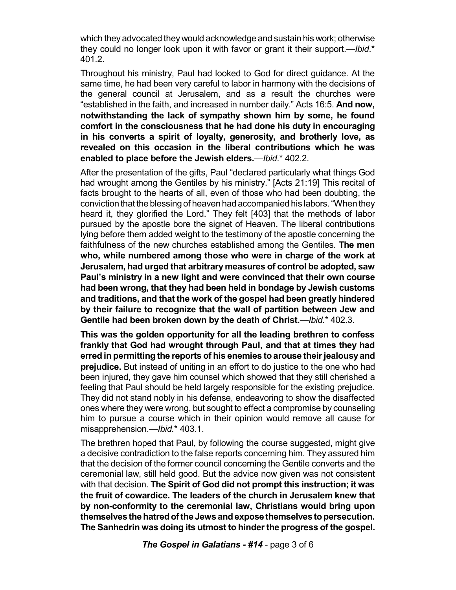which they advocated they would acknowledge and sustain his work; otherwise they could no longer look upon it with favor or grant it their support.—*Ibid*.\* 401.2.

Throughout his ministry, Paul had looked to God for direct guidance. At the same time, he had been very careful to labor in harmony with the decisions of the general council at Jerusalem, and as a result the churches were "established in the faith, and increased in number daily." Acts 16:5. **And now, notwithstanding the lack of sympathy shown him by some, he found comfort in the consciousness that he had done his duty in encouraging in his converts a spirit of loyalty, generosity, and brotherly love, as revealed on this occasion in the liberal contributions which he was enabled to place before the Jewish elders.**—*Ibid*.\* 402.2.

After the presentation of the gifts, Paul "declared particularly what things God had wrought among the Gentiles by his ministry." [Acts 21:19] This recital of facts brought to the hearts of all, even of those who had been doubting, the conviction that the blessing of heaven had accompanied his labors. "When they heard it, they glorified the Lord." They felt [403] that the methods of labor pursued by the apostle bore the signet of Heaven. The liberal contributions lying before them added weight to the testimony of the apostle concerning the faithfulness of the new churches established among the Gentiles. **The men who, while numbered among those who were in charge of the work at Jerusalem, had urged that arbitrary measures of control be adopted, saw Paul's ministry in a new light and were convinced that their own course had been wrong, that they had been held in bondage by Jewish customs and traditions, and that the work of the gospel had been greatly hindered by their failure to recognize that the wall of partition between Jew and Gentile had been broken down by the death of Christ.**—*Ibid.*\* 402.3.

**This was the golden opportunity for all the leading brethren to confess frankly that God had wrought through Paul, and that at times they had erred in permitting the reports of his enemies to arouse theirjealousyand prejudice.** But instead of uniting in an effort to do justice to the one who had been injured, they gave him counsel which showed that they still cherished a feeling that Paul should be held largely responsible for the existing prejudice. They did not stand nobly in his defense, endeavoring to show the disaffected ones where they were wrong, but sought to effect a compromise by counseling him to pursue a course which in their opinion would remove all cause for misapprehension.—*Ibid.*\* 403.1.

The brethren hoped that Paul, by following the course suggested, might give a decisive contradiction to the false reports concerning him. They assured him that the decision of the former council concerning the Gentile converts and the ceremonial law, still held good. But the advice now given was not consistent with that decision. **The Spirit of God did not prompt this instruction; it was the fruit of cowardice. The leaders of the church in Jerusalem knew that by non-conformity to the ceremonial law, Christians would bring upon themselvesthehatredofthe Jews andexpose themselves topersecution. The Sanhedrin was doing its utmost to hinderthe progress of the gospel.**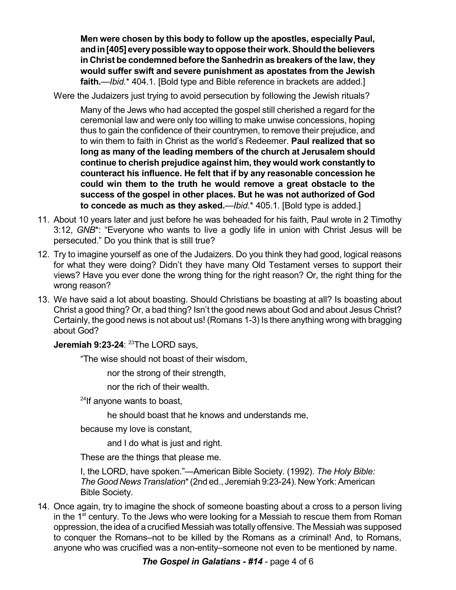**Men were chosen by this body to follow up the apostles, especially Paul, andin[405] everypossiblewaytooppose their work.Shouldthe believers in Christ be condemned before the Sanhedrin as breakers of the law, they would suffer swift and severe punishment as apostates from the Jewish faith.**—*Ibid.*\* 404.1. [Bold type and Bible reference in brackets are added.]

Were the Judaizers just trying to avoid persecution by following the Jewish rituals?

Many of the Jews who had accepted the gospel still cherished a regard for the ceremonial law and were only too willing to make unwise concessions, hoping thus to gain the confidence of their countrymen, to remove their prejudice, and to win them to faith in Christ as the world's Redeemer. **Paul realized that so long as many of the leading members of the church at Jerusalem should continue to cherish prejudice against him, they would work constantly to counteract his influence. He felt that if by any reasonable concession he could win them to the truth he would remove a great obstacle to the success of the gospel in other places. But he was not authorized of God to concede as much as they asked.**—*Ibid.*\* 405.1. [Bold type is added.]

- 11. About 10 years later and just before he was beheaded for his faith, Paul wrote in 2 Timothy 3:12, *GNB*\*: "Everyone who wants to live a godly life in union with Christ Jesus will be persecuted." Do you think that is still true?
- 12. Try to imagine yourself as one of the Judaizers. Do you think they had good, logical reasons for what they were doing? Didn't they have many Old Testament verses to support their views? Have you ever done the wrong thing for the right reason? Or, the right thing for the wrong reason?
- 13. We have said a lot about boasting. Should Christians be boasting at all? Is boasting about Christ a good thing? Or, a bad thing? Isn't the good news about God and about Jesus Christ? Certainly, the good news is not about us! (Romans 1-3) Is there anything wrong with bragging about God?

**Jeremiah 9:23-24**: <sup>23</sup>The LORD says,

"The wise should not boast of their wisdom,

nor the strong of their strength,

nor the rich of their wealth.

 $^{24}$ If anyone wants to boast,

he should boast that he knows and understands me,

because my love is constant,

and I do what is just and right.

These are the things that please me.

I, the LORD, have spoken."—American Bible Society. (1992). *The Holy Bible: TheGoodNewsTranslation*\*(2nd ed., Jeremiah 9:23-24). NewYork:American Bible Society.

14. Once again, try to imagine the shock of someone boasting about a cross to a person living in the 1<sup>st</sup> century. To the Jews who were looking for a Messiah to rescue them from Roman oppression, the idea of a crucified Messiah was totally offensive. The Messiah was supposed to conquer the Romans–not to be killed by the Romans as a criminal! And, to Romans, anyone who was crucified was a non-entity–someone not even to be mentioned by name.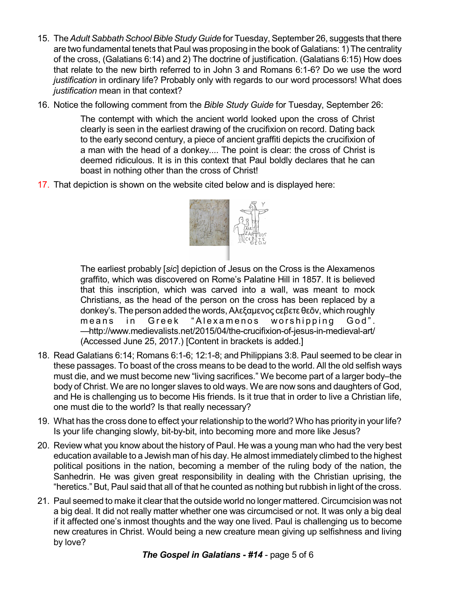- 15. The Adult Sabbath School Bible Study Guide for Tuesday, September 26, suggests that there are two fundamental tenets that Paul was proposing in the book of Galatians: 1) The centrality of the cross, (Galatians 6:14) and 2) The doctrine of justification. (Galatians 6:15) How does that relate to the new birth referred to in John 3 and Romans 6:1-6? Do we use the word *justification* in ordinary life? Probably only with regards to our word processors! What does *justification* mean in that context?
- 16. Notice the following comment from the *Bible Study Guide* for Tuesday, September 26:

The contempt with which the ancient world looked upon the cross of Christ clearly is seen in the earliest drawing of the crucifixion on record. Dating back to the early second century, a piece of ancient graffiti depicts the crucifixion of a man with the head of a donkey.... The point is clear: the cross of Christ is deemed ridiculous. It is in this context that Paul boldly declares that he can boast in nothing other than the cross of Christ!

17. That depiction is shown on the website cited below and is displayed here:



The earliest probably [*sic*] depiction of Jesus on the Cross is the Alexamenos graffito, which was discovered on Rome's Palatine Hill in 1857. It is believed that this inscription, which was carved into a wall, was meant to mock Christians, as the head of the person on the cross has been replaced by a donkey's. The person added the words, Αλεξαμενος cεβετε θεōν, which roughly means in Greek "Alexamenos worshipping God". —http://www.medievalists.net/2015/04/the-crucifixion-of-jesus-in-medieval-art/ (Accessed June 25, 2017.) [Content in brackets is added.]

- 18. Read Galatians 6:14; Romans 6:1-6; 12:1-8; and Philippians 3:8. Paul seemed to be clear in these passages. To boast of the cross means to be dead to the world. All the old selfish ways must die, and we must become new "living sacrifices." We become part of a larger body–the body of Christ. We are no longer slaves to old ways. We are now sons and daughters of God, and He is challenging us to become His friends. Is it true that in order to live a Christian life, one must die to the world? Is that really necessary?
- 19. What has the cross done to effect your relationship to the world? Who has priority in your life? Is your life changing slowly, bit-by-bit, into becoming more and more like Jesus?
- 20. Review what you know about the history of Paul. He was a young man who had the very best education available to a Jewish man of his day. He almost immediately climbed to the highest political positions in the nation, becoming a member of the ruling body of the nation, the Sanhedrin. He was given great responsibility in dealing with the Christian uprising, the "heretics." But, Paul said that all of that he counted as nothing but rubbish in light of the cross.
- 21. Paul seemed to make it clear that the outside world no longer mattered. Circumcision was not a big deal. It did not really matter whether one was circumcised or not. It was only a big deal if it affected one's inmost thoughts and the way one lived. Paul is challenging us to become new creatures in Christ. Would being a new creature mean giving up selfishness and living by love?